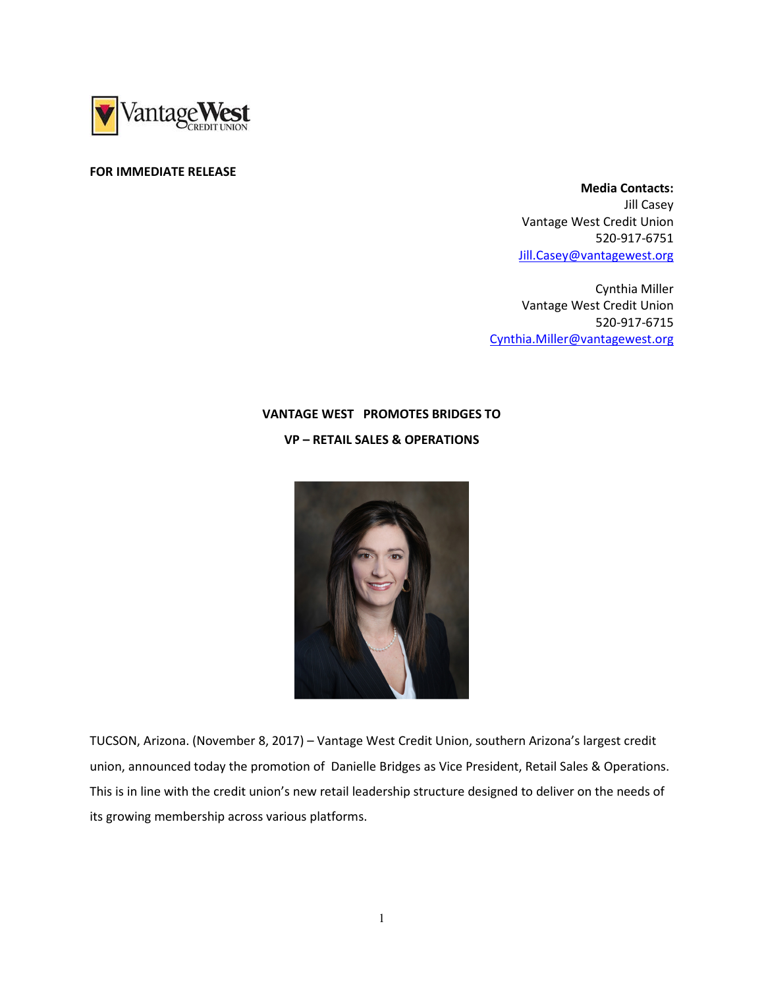

## FOR IMMEDIATE RELEASE

 Media Contacts: Jill Casey Vantage West Credit Union 520-917-6751 Jill.Casey@vantagewest.org

Cynthia Miller Vantage West Credit Union 520-917-6715 Cynthia.Miller@vantagewest.org

## VANTAGE WEST PROMOTES BRIDGES TO VP – RETAIL SALES & OPERATIONS



TUCSON, Arizona. (November 8, 2017) – Vantage West Credit Union, southern Arizona's largest credit union, announced today the promotion of Danielle Bridges as Vice President, Retail Sales & Operations. This is in line with the credit union's new retail leadership structure designed to deliver on the needs of its growing membership across various platforms.